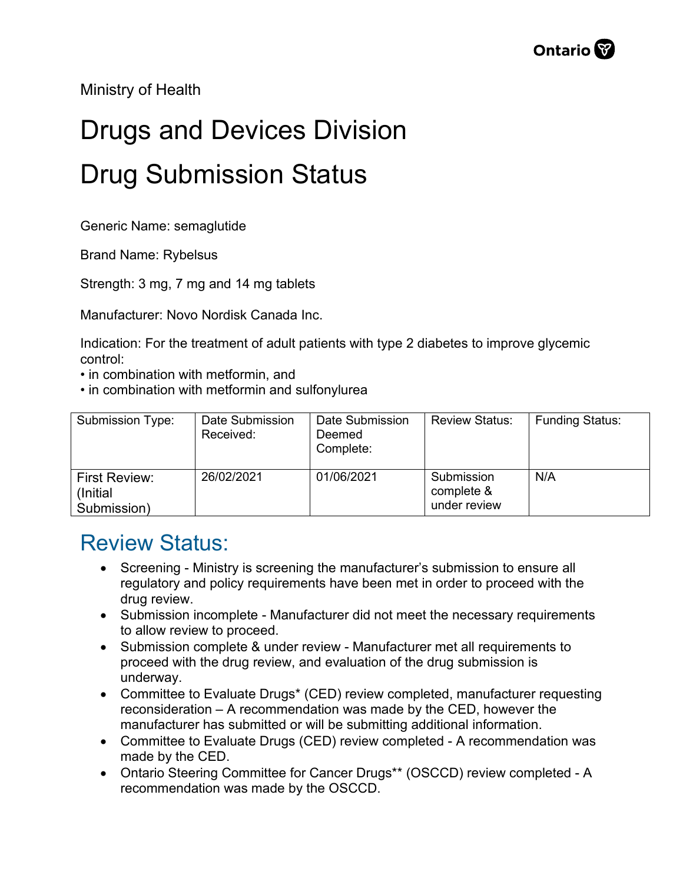Ministry of Health

## Drugs and Devices Division Drug Submission Status

Generic Name: semaglutide

Brand Name: Rybelsus

Strength: 3 mg, 7 mg and 14 mg tablets

Manufacturer: Novo Nordisk Canada Inc.

Indication: For the treatment of adult patients with type 2 diabetes to improve glycemic control:

- in combination with metformin, and
- in combination with metformin and sulfonylurea

| Submission Type:           | Date Submission<br>Received: | Date Submission<br>Deemed<br>Complete: | <b>Review Status:</b>    | <b>Funding Status:</b> |
|----------------------------|------------------------------|----------------------------------------|--------------------------|------------------------|
| First Review:<br>(Initial) | 26/02/2021                   | 01/06/2021                             | Submission<br>complete & | N/A                    |
|                            |                              |                                        |                          |                        |
| Submission)                |                              |                                        | under review             |                        |

## Review Status:

- Screening Ministry is screening the manufacturer's submission to ensure all regulatory and policy requirements have been met in order to proceed with the drug review.
- Submission incomplete Manufacturer did not meet the necessary requirements to allow review to proceed.
- Submission complete & under review Manufacturer met all requirements to proceed with the drug review, and evaluation of the drug submission is underway.
- Committee to Evaluate Drugs\* (CED) review completed, manufacturer requesting reconsideration – A recommendation was made by the CED, however the manufacturer has submitted or will be submitting additional information.
- Committee to Evaluate Drugs (CED) review completed A recommendation was made by the CED.
- Ontario Steering Committee for Cancer Drugs\*\* (OSCCD) review completed A recommendation was made by the OSCCD.